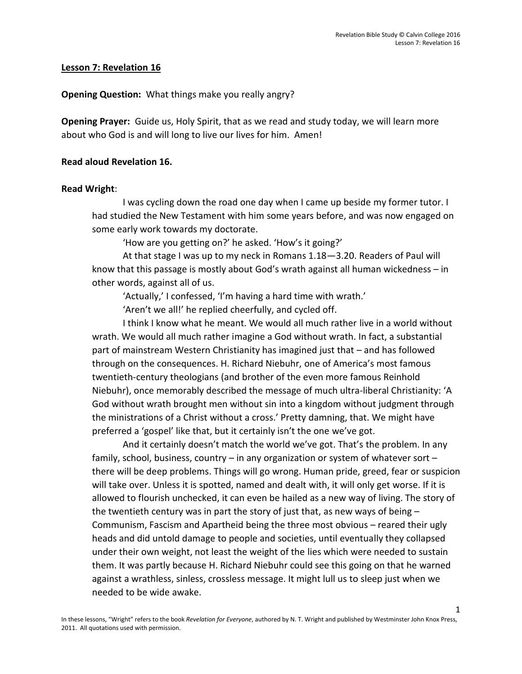## **Lesson 7: Revelation 16**

**Opening Question:** What things make you really angry?

**Opening Prayer:** Guide us, Holy Spirit, that as we read and study today, we will learn more about who God is and will long to live our lives for him. Amen!

## **Read aloud Revelation 16.**

## **Read Wright**:

I was cycling down the road one day when I came up beside my former tutor. I had studied the New Testament with him some years before, and was now engaged on some early work towards my doctorate.

'How are you getting on?' he asked. 'How's it going?'

At that stage I was up to my neck in Romans 1.18—3.20. Readers of Paul will know that this passage is mostly about God's wrath against all human wickedness – in other words, against all of us.

'Actually,' I confessed, 'I'm having a hard time with wrath.'

'Aren't we all!' he replied cheerfully, and cycled off.

I think I know what he meant. We would all much rather live in a world without wrath. We would all much rather imagine a God without wrath. In fact, a substantial part of mainstream Western Christianity has imagined just that – and has followed through on the consequences. H. Richard Niebuhr, one of America's most famous twentieth-century theologians (and brother of the even more famous Reinhold Niebuhr), once memorably described the message of much ultra-liberal Christianity: 'A God without wrath brought men without sin into a kingdom without judgment through the ministrations of a Christ without a cross.' Pretty damning, that. We might have preferred a 'gospel' like that, but it certainly isn't the one we've got.

And it certainly doesn't match the world we've got. That's the problem. In any family, school, business, country – in any organization or system of whatever sort – there will be deep problems. Things will go wrong. Human pride, greed, fear or suspicion will take over. Unless it is spotted, named and dealt with, it will only get worse. If it is allowed to flourish unchecked, it can even be hailed as a new way of living. The story of the twentieth century was in part the story of just that, as new ways of being  $-$ Communism, Fascism and Apartheid being the three most obvious – reared their ugly heads and did untold damage to people and societies, until eventually they collapsed under their own weight, not least the weight of the lies which were needed to sustain them. It was partly because H. Richard Niebuhr could see this going on that he warned against a wrathless, sinless, crossless message. It might lull us to sleep just when we needed to be wide awake.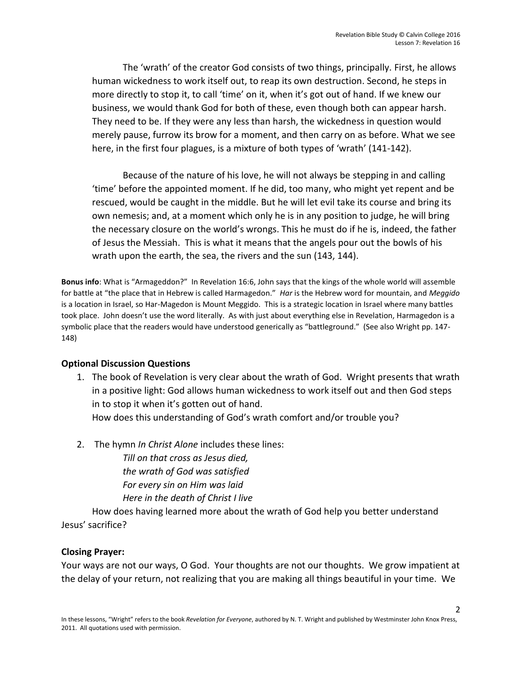2

The 'wrath' of the creator God consists of two things, principally. First, he allows human wickedness to work itself out, to reap its own destruction. Second, he steps in more directly to stop it, to call 'time' on it, when it's got out of hand. If we knew our business, we would thank God for both of these, even though both can appear harsh. They need to be. If they were any less than harsh, the wickedness in question would merely pause, furrow its brow for a moment, and then carry on as before. What we see here, in the first four plagues, is a mixture of both types of 'wrath' (141-142).

Because of the nature of his love, he will not always be stepping in and calling 'time' before the appointed moment. If he did, too many, who might yet repent and be rescued, would be caught in the middle. But he will let evil take its course and bring its own nemesis; and, at a moment which only he is in any position to judge, he will bring the necessary closure on the world's wrongs. This he must do if he is, indeed, the father of Jesus the Messiah. This is what it means that the angels pour out the bowls of his wrath upon the earth, the sea, the rivers and the sun (143, 144).

**Bonus info**: What is "Armageddon?" In Revelation 16:6, John says that the kings of the whole world will assemble for battle at "the place that in Hebrew is called Harmagedon." *Har* is the Hebrew word for mountain, and *Meggido* is a location in Israel, so Har-Magedon is Mount Meggido. This is a strategic location in Israel where many battles took place. John doesn't use the word literally. As with just about everything else in Revelation, Harmagedon is a symbolic place that the readers would have understood generically as "battleground." (See also Wright pp. 147- 148)

# **Optional Discussion Questions**

- 1. The book of Revelation is very clear about the wrath of God. Wright presents that wrath in a positive light: God allows human wickedness to work itself out and then God steps in to stop it when it's gotten out of hand. How does this understanding of God's wrath comfort and/or trouble you?
- 
- 2. The hymn *In Christ Alone* includes these lines:

*Till on that cross as Jesus died, the wrath of God was satisfied For every sin on Him was laid Here in the death of Christ I live*

How does having learned more about the wrath of God help you better understand Jesus' sacrifice?

# **Closing Prayer:**

Your ways are not our ways, O God. Your thoughts are not our thoughts. We grow impatient at the delay of your return, not realizing that you are making all things beautiful in your time. We